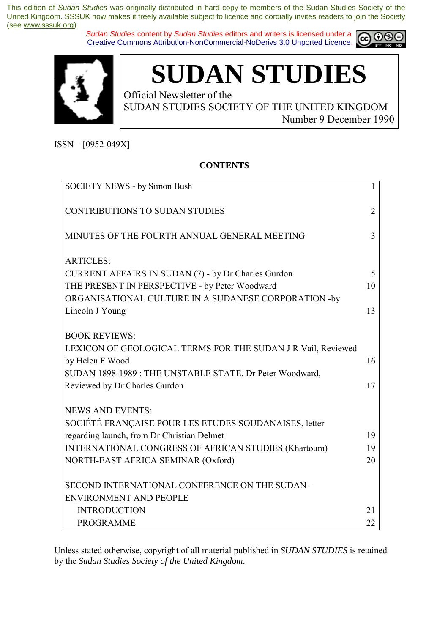*Sudan Studies* content by *Sudan Studies* editors and writers is licensed under a Creative Commons Attribution-NonCommercial-NoDerivs 3.0 Unported Licence.





**SUDAN STUDIES** 

Official Newsletter of the SUDAN STUDIES SOCIETY OF THE UNITED KINGDOM Number 9 December 1990

 $ISSN - [0952-049X]$ 

### **CONTENTS**

| <b>SOCIETY NEWS - by Simon Bush</b>                          | $\mathbf{1}$   |
|--------------------------------------------------------------|----------------|
| <b>CONTRIBUTIONS TO SUDAN STUDIES</b>                        | $\overline{2}$ |
| MINUTES OF THE FOURTH ANNUAL GENERAL MEETING                 | 3              |
| <b>ARTICLES:</b>                                             |                |
| CURRENT AFFAIRS IN SUDAN (7) - by Dr Charles Gurdon          | 5              |
| THE PRESENT IN PERSPECTIVE - by Peter Woodward               | 10             |
| ORGANISATIONAL CULTURE IN A SUDANESE CORPORATION -by         |                |
| Lincoln J Young                                              | 13             |
| <b>BOOK REVIEWS:</b>                                         |                |
| LEXICON OF GEOLOGICAL TERMS FOR THE SUDAN J R Vail, Reviewed |                |
| by Helen F Wood                                              | 16             |
| SUDAN 1898-1989: THE UNSTABLE STATE, Dr Peter Woodward,      |                |
| Reviewed by Dr Charles Gurdon                                | 17             |
| <b>NEWS AND EVENTS:</b>                                      |                |
| SOCIÉTÉ FRANÇAISE POUR LES ETUDES SOUDANAISES, letter        |                |
| regarding launch, from Dr Christian Delmet                   | 19             |
| INTERNATIONAL CONGRESS OF AFRICAN STUDIES (Khartoum)         | 19             |
| NORTH-EAST AFRICA SEMINAR (Oxford)                           | 20             |
| SECOND INTERNATIONAL CONFERENCE ON THE SUDAN -               |                |
| <b>ENVIRONMENT AND PEOPLE</b>                                |                |
| <b>INTRODUCTION</b>                                          | 21             |
| <b>PROGRAMME</b>                                             | 22             |

Unless stated otherwise, copyright of all material published in *SUDAN STUDIES* is retained by the *Sudan Studies Society of the United Kingdom*.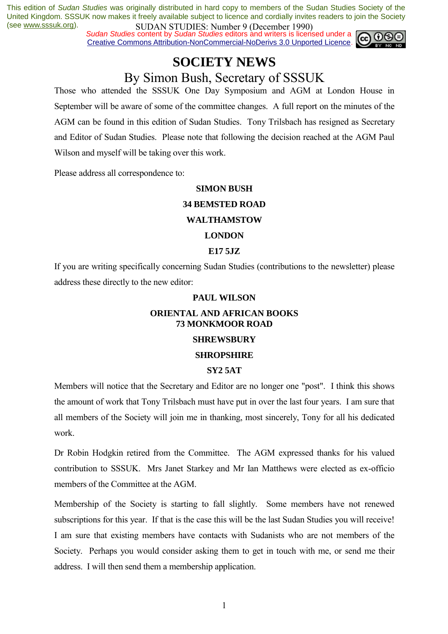*Sudan Studies content by Sudan Studies editors and writers is licensed under a* Creative Commons Attribution-NonCommercial-NoDerivs 3.0 Unported Licence.



# **SOCIETY NEWS**

## By Simon Bush, Secretary of SSSUK

Those who attended the SSSUK One Day Symposium and AGM at London House in September will be aware of some of the committee changes. A full report on the minutes of the AGM can be found in this edition of Sudan Studies. Tony Trilsbach has resigned as Secretary and Editor of Sudan Studies. Please note that following the decision reached at the AGM Paul Wilson and myself will be taking over this work.

Please address all correspondence to:

#### **SIMON BUSH**

#### **34 BEMSTED ROAD**

#### **WALTHAMSTOW**

#### **LONDON**

#### **E17 5JZ**

If you are writing specifically concerning Sudan Studies (contributions to the newsletter) please address these directly to the new editor:

#### **PAUL WILSON**

### **ORIENTAL AND AFRICAN BOOKS 73 MONKMOOR ROAD**

#### **SHREWSBURY**

#### **SHROPSHIRE**

#### **SY2 5AT**

Members will notice that the Secretary and Editor are no longer one "post". I think this shows the amount of work that Tony Trilsbach must have put in over the last four years. I am sure that all members of the Society will join me in thanking, most sincerely, Tony for all his dedicated work.

Dr Robin Hodgkin retired from the Committee. The AGM expressed thanks for his valued contribution to SSSUK. Mrs Janet Starkey and Mr Ian Matthews were elected as ex-officio members of the Committee at the AGM.

Membership of the Society is starting to fall slightly. Some members have not renewed subscriptions for this year. If that is the case this will be the last Sudan Studies you will receive! I am sure that existing members have contacts with Sudanists who are not members of the Society. Perhaps you would consider asking them to get in touch with me, or send me their address. I will then send them a membership application.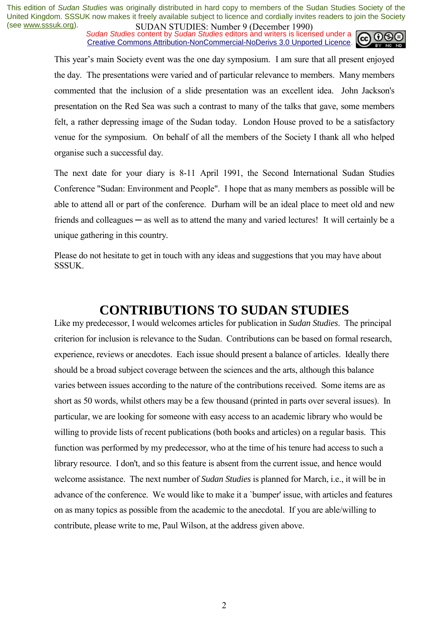**SUDAN STUDIES:** Number 9 (December 1770)<br>Sudan Studies content by Sudan Studies editors and writers is licensed under a  $\omega$  0 Creative Commons Attribution-NonCommercial-NoDerivs 3.0 Unported Licence.



This year's main Society event was the one day symposium. I am sure that all present enjoyed the day. The presentations were varied and of particular relevance to members. Many members commented that the inclusion of a slide presentation was an excellent idea. John Jackson's presentation on the Red Sea was such a contrast to many of the talks that gave, some members felt, a rather depressing image of the Sudan today. London House proved to be a satisfactory venue for the symposium. On behalf of all the members of the Society I thank all who helped organise such a successful day.

The next date for your diary is 8-11 April 1991, the Second International Sudan Studies Conference "Sudan: Environment and People". I hope that as many members as possible will be able to attend all or part of the conference. Durham will be an ideal place to meet old and new friends and colleagues — as well as to attend the many and varied lectures! It will certainly be a unique gathering in this country.

Please do not hesitate to get in touch with any ideas and suggestions that you may have about SSSUK.

### **CONTRIBUTIONS TO SUDAN STUDIES**

Like my predecessor, I would welcomes articles for publication in *Sudan Studies*. The principal criterion for inclusion is relevance to the Sudan. Contributions can be based on formal research, experience, reviews or anecdotes. Each issue should present a balance of articles. Ideally there should be a broad subject coverage between the sciences and the arts, although this balance varies between issues according to the nature of the contributions received. Some items are as short as 50 words, whilst others may be a few thousand (printed in parts over several issues). In particular, we are looking for someone with easy access to an academic library who would be willing to provide lists of recent publications (both books and articles) on a regular basis. This function was performed by my predecessor, who at the time of his tenure had access to such a library resource. I don't, and so this feature is absent from the current issue, and hence would welcome assistance. The next number of *Sudan Studies* is planned for March, i.e., it will be in advance of the conference. We would like to make it a `bumper' issue, with articles and features on as many topics as possible from the academic to the anecdotal. If you are able/willing to contribute, please write to me, Paul Wilson, at the address given above.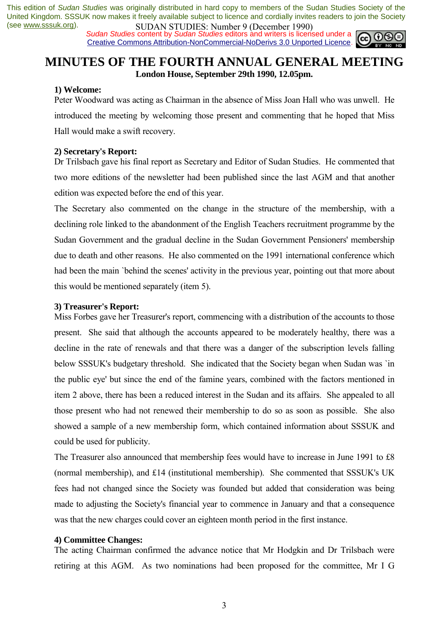**SUDAN STUDIES:** NUTTUP 7 (December 1770)<br>*Sudan Studies* content by *Sudan Studies* editors and writers is licensed under a  $\overline{(\mathbf{c}) \mathbf{0}}$ Creative Commons Attribution-NonCommercial-NoDerivs 3.0 Unported Licence.



### **MINUTES OF THE FOURTH ANNUAL GENERAL MEETING London House, September 29th 1990, 12.05pm.**

#### **1) Welcome:**

Peter Woodward was acting as Chairman in the absence of Miss Joan Hall who was unwell. He introduced the meeting by welcoming those present and commenting that he hoped that Miss Hall would make a swift recovery.

#### **2) Secretary's Report:**

Dr Trilsbach gave his final report as Secretary and Editor of Sudan Studies. He commented that two more editions of the newsletter had been published since the last AGM and that another edition was expected before the end of this year.

The Secretary also commented on the change in the structure of the membership, with a declining role linked to the abandonment of the English Teachers recruitment programme by the Sudan Government and the gradual decline in the Sudan Government Pensioners' membership due to death and other reasons. He also commented on the 1991 international conference which had been the main `behind the scenes' activity in the previous year, pointing out that more about this would be mentioned separately (item 5).

#### **3) Treasurer's Report:**

Miss Forbes gave her Treasurer's report, commencing with a distribution of the accounts to those present. She said that although the accounts appeared to be moderately healthy, there was a decline in the rate of renewals and that there was a danger of the subscription levels falling below SSSUK's budgetary threshold. She indicated that the Society began when Sudan was `in the public eye' but since the end of the famine years, combined with the factors mentioned in item 2 above, there has been a reduced interest in the Sudan and its affairs. She appealed to all those present who had not renewed their membership to do so as soon as possible. She also showed a sample of a new membership form, which contained information about SSSUK and could be used for publicity.

The Treasurer also announced that membership fees would have to increase in June 1991 to £8 (normal membership), and £14 (institutional membership). She commented that SSSUK's UK fees had not changed since the Society was founded but added that consideration was being made to adjusting the Society's financial year to commence in January and that a consequence was that the new charges could cover an eighteen month period in the first instance.

#### **4) Committee Changes:**

The acting Chairman confirmed the advance notice that Mr Hodgkin and Dr Trilsbach were retiring at this AGM. As two nominations had been proposed for the committee, Mr I G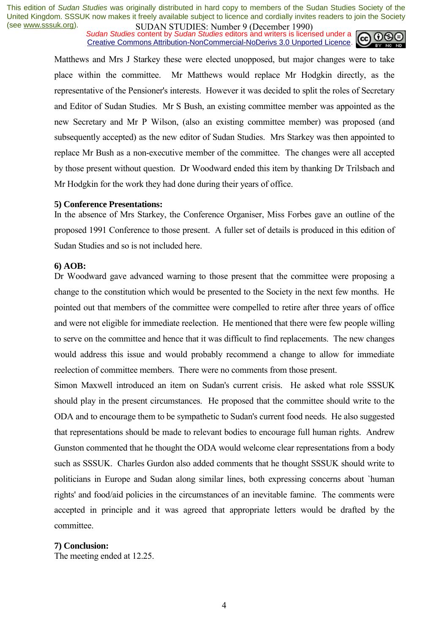**SUDAN STUDIES. NUTTER / LOCULTURES**<br>Sudan Studies content by Sudan Studies editors and writers is licensed under a **c** 0000 Creative Commons Attribution-NonCommercial-NoDerivs 3.0 Unported Licence.



Matthews and Mrs J Starkey these were elected unopposed, but major changes were to take place within the committee. Mr Matthews would replace Mr Hodgkin directly, as the representative of the Pensioner's interests. However it was decided to split the roles of Secretary and Editor of Sudan Studies. Mr S Bush, an existing committee member was appointed as the new Secretary and Mr P Wilson, (also an existing committee member) was proposed (and subsequently accepted) as the new editor of Sudan Studies. Mrs Starkey was then appointed to replace Mr Bush as a non-executive member of the committee. The changes were all accepted by those present without question. Dr Woodward ended this item by thanking Dr Trilsbach and Mr Hodgkin for the work they had done during their years of office.

#### **5) Conference Presentations:**

In the absence of Mrs Starkey, the Conference Organiser, Miss Forbes gave an outline of the proposed 1991 Conference to those present. A fuller set of details is produced in this edition of Sudan Studies and so is not included here.

#### **6) AOB:**

Dr Woodward gave advanced warning to those present that the committee were proposing a change to the constitution which would be presented to the Society in the next few months. He pointed out that members of the committee were compelled to retire after three years of office and were not eligible for immediate reelection. He mentioned that there were few people willing to serve on the committee and hence that it was difficult to find replacements. The new changes would address this issue and would probably recommend a change to allow for immediate reelection of committee members. There were no comments from those present.

Simon Maxwell introduced an item on Sudan's current crisis. He asked what role SSSUK should play in the present circumstances. He proposed that the committee should write to the ODA and to encourage them to be sympathetic to Sudan's current food needs. He also suggested that representations should be made to relevant bodies to encourage full human rights. Andrew Gunston commented that he thought the ODA would welcome clear representations from a body such as SSSUK. Charles Gurdon also added comments that he thought SSSUK should write to politicians in Europe and Sudan along similar lines, both expressing concerns about `human rights' and food/aid policies in the circumstances of an inevitable famine. The comments were accepted in principle and it was agreed that appropriate letters would be drafted by the committee.

#### **7) Conclusion:**

The meeting ended at 12.25.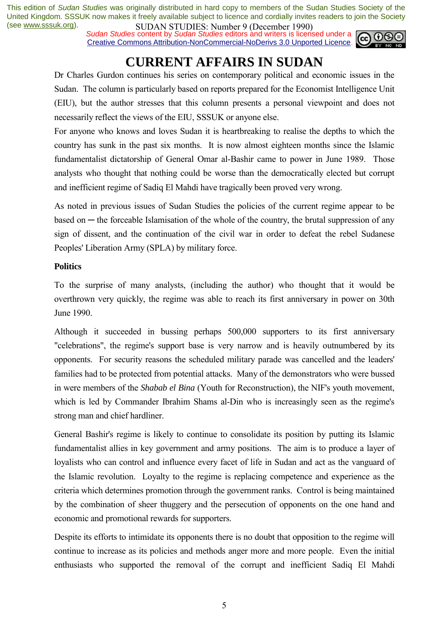**SUDAN STUDIES:** Number 7 (December 1770)<br>*Sudan Studies* content by *Sudan Studies* editors and writers is licensed under a Creative Commons Attribution-NonCommercial-NoDerivs 3.0 Unported Licence.



# **CURRENT AFFAIRS IN SUDAN**

Dr Charles Gurdon continues his series on contemporary political and economic issues in the Sudan. The column is particularly based on reports prepared for the Economist Intelligence Unit (EIU), but the author stresses that this column presents a personal viewpoint and does not necessarily reflect the views of the EIU, SSSUK or anyone else.

For anyone who knows and loves Sudan it is heartbreaking to realise the depths to which the country has sunk in the past six months. It is now almost eighteen months since the Islamic fundamentalist dictatorship of General Omar al-Bashir came to power in June 1989. Those analysts who thought that nothing could be worse than the democratically elected but corrupt and inefficient regime of Sadiq El Mahdi have tragically been proved very wrong.

As noted in previous issues of Sudan Studies the policies of the current regime appear to be  $based on$   $-$  the forceable Islamisation of the whole of the country, the brutal suppression of any sign of dissent, and the continuation of the civil war in order to defeat the rebel Sudanese Peoples' Liberation Army (SPLA) by military force.

### **Politics**

To the surprise of many analysts, (including the author) who thought that it would be overthrown very quickly, the regime was able to reach its first anniversary in power on 30th June 1990.

Although it succeeded in bussing perhaps 500,000 supporters to its first anniversary "celebrations", the regime's support base is very narrow and is heavily outnumbered by its opponents. For security reasons the scheduled military parade was cancelled and the leaders' families had to be protected from potential attacks. Many of the demonstrators who were bussed in were members of the *Shabab el Bina* (Youth for Reconstruction), the NIF's youth movement, which is led by Commander Ibrahim Shams al-Din who is increasingly seen as the regime's strong man and chief hardliner.

General Bashir's regime is likely to continue to consolidate its position by putting its Islamic fundamentalist allies in key government and army positions. The aim is to produce a layer of loyalists who can control and influence every facet of life in Sudan and act as the vanguard of the Islamic revolution. Loyalty to the regime is replacing competence and experience as the criteria which determines promotion through the government ranks. Control is being maintained by the combination of sheer thuggery and the persecution of opponents on the one hand and economic and promotional rewards for supporters.

Despite its efforts to intimidate its opponents there is no doubt that opposition to the regime will continue to increase as its policies and methods anger more and more people. Even the initial enthusiasts who supported the removal of the corrupt and inefficient Sadiq El Mahdi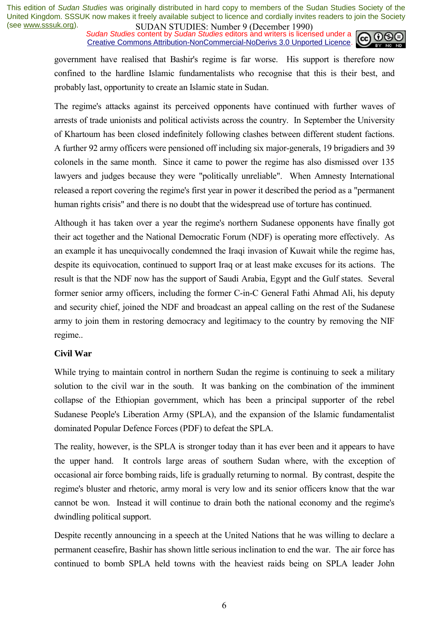**SUDAN STUDIES:** NUTTUP 7 (December 1770)<br>Sudan Studies content by Sudan Studies editors and writers is licensed under a Creative Commons Attribution-NonCommercial-NoDerivs 3.0 Unported Licence.



government have realised that Bashir's regime is far worse. His support is therefore now confined to the hardline Islamic fundamentalists who recognise that this is their best, and probably last, opportunity to create an Islamic state in Sudan.

The regime's attacks against its perceived opponents have continued with further waves of arrests of trade unionists and political activists across the country. In September the University of Khartoum has been closed indefinitely following clashes between different student factions. A further 92 army officers were pensioned off including six major-generals, 19 brigadiers and 39 colonels in the same month. Since it came to power the regime has also dismissed over 135 lawyers and judges because they were "politically unreliable". When Amnesty International released a report covering the regime's first year in power it described the period as a "permanent human rights crisis" and there is no doubt that the widespread use of torture has continued.

Although it has taken over a year the regime's northern Sudanese opponents have finally got their act together and the National Democratic Forum (NDF) is operating more effectively. As an example it has unequivocally condemned the Iraqi invasion of Kuwait while the regime has, despite its equivocation, continued to support Iraq or at least make excuses for its actions. The result is that the NDF now has the support of Saudi Arabia, Egypt and the Gulf states. Several former senior army officers, including the former C-in-C General Fathi Ahmad Ali, his deputy and security chief, joined the NDF and broadcast an appeal calling on the rest of the Sudanese army to join them in restoring democracy and legitimacy to the country by removing the NIF regime..

#### **Civil War**

While trying to maintain control in northern Sudan the regime is continuing to seek a military solution to the civil war in the south. It was banking on the combination of the imminent collapse of the Ethiopian government, which has been a principal supporter of the rebel Sudanese People's Liberation Army (SPLA), and the expansion of the Islamic fundamentalist dominated Popular Defence Forces (PDF) to defeat the SPLA.

The reality, however, is the SPLA is stronger today than it has ever been and it appears to have the upper hand. It controls large areas of southern Sudan where, with the exception of occasional air force bombing raids, life is gradually returning to normal. By contrast, despite the regime's bluster and rhetoric, army moral is very low and its senior officers know that the war cannot be won. Instead it will continue to drain both the national economy and the regime's dwindling political support.

Despite recently announcing in a speech at the United Nations that he was willing to declare a permanent ceasefire, Bashir has shown little serious inclination to end the war. The air force has continued to bomb SPLA held towns with the heaviest raids being on SPLA leader John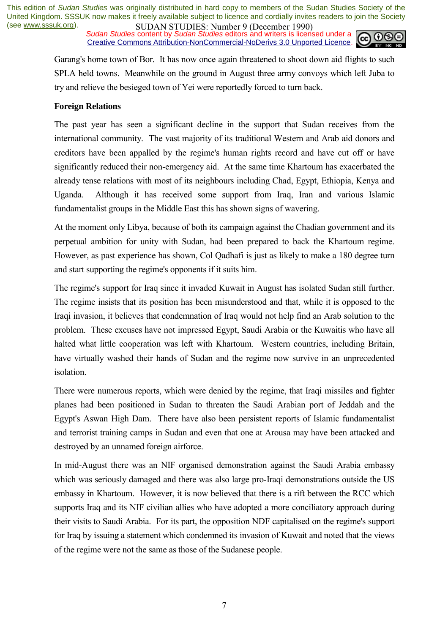**SUDAN STUDIES:** Number 9 (December 1770)<br>Sudan Studies content by Sudan Studies editors and writers is licensed under a  $\omega$  0 Creative Commons Attribution-NonCommercial-NoDerivs 3.0 Unported Licence.



Garang's home town of Bor. It has now once again threatened to shoot down aid flights to such SPLA held towns. Meanwhile on the ground in August three army convoys which left Juba to try and relieve the besieged town of Yei were reportedly forced to turn back.

#### **Foreign Relations**

The past year has seen a significant decline in the support that Sudan receives from the international community. The vast majority of its traditional Western and Arab aid donors and creditors have been appalled by the regime's human rights record and have cut off or have significantly reduced their non-emergency aid. At the same time Khartoum has exacerbated the already tense relations with most of its neighbours including Chad, Egypt, Ethiopia, Kenya and Uganda. Although it has received some support from Iraq, Iran and various Islamic fundamentalist groups in the Middle East this has shown signs of wavering.

At the moment only Libya, because of both its campaign against the Chadian government and its perpetual ambition for unity with Sudan, had been prepared to back the Khartoum regime. However, as past experience has shown, Col Qadhafi is just as likely to make a 180 degree turn and start supporting the regime's opponents if it suits him.

The regime's support for Iraq since it invaded Kuwait in August has isolated Sudan still further. The regime insists that its position has been misunderstood and that, while it is opposed to the Iraqi invasion, it believes that condemnation of Iraq would not help find an Arab solution to the problem. These excuses have not impressed Egypt, Saudi Arabia or the Kuwaitis who have all halted what little cooperation was left with Khartoum. Western countries, including Britain, have virtually washed their hands of Sudan and the regime now survive in an unprecedented isolation.

There were numerous reports, which were denied by the regime, that Iraqi missiles and fighter planes had been positioned in Sudan to threaten the Saudi Arabian port of Jeddah and the Egypt's Aswan High Dam. There have also been persistent reports of Islamic fundamentalist and terrorist training camps in Sudan and even that one at Arousa may have been attacked and destroyed by an unnamed foreign airforce.

In mid-August there was an NIF organised demonstration against the Saudi Arabia embassy which was seriously damaged and there was also large pro-Iraqi demonstrations outside the US embassy in Khartoum. However, it is now believed that there is a rift between the RCC which supports Iraq and its NIF civilian allies who have adopted a more conciliatory approach during their visits to Saudi Arabia. For its part, the opposition NDF capitalised on the regime's support for Iraq by issuing a statement which condemned its invasion of Kuwait and noted that the views of the regime were not the same as those of the Sudanese people.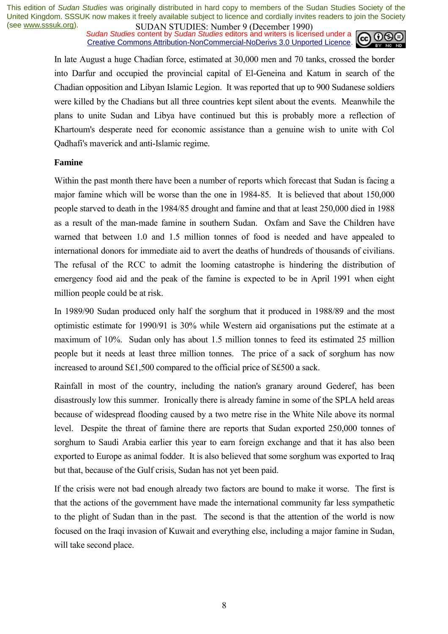**SUDAN STUDIES:** Number 7 (December 1770)<br>Sudan Studies content by Sudan Studies editors and writers is licensed under a **co Co Co** Creative Commons Attribution-NonCommercial-NoDerivs 3.0 Unported Licence.



In late August a huge Chadian force, estimated at 30,000 men and 70 tanks, crossed the border into Darfur and occupied the provincial capital of El-Geneina and Katum in search of the Chadian opposition and Libyan Islamic Legion. It was reported that up to 900 Sudanese soldiers were killed by the Chadians but all three countries kept silent about the events. Meanwhile the plans to unite Sudan and Libya have continued but this is probably more a reflection of Khartoum's desperate need for economic assistance than a genuine wish to unite with Col Qadhafi's maverick and anti-Islamic regime.

#### **Famine**

Within the past month there have been a number of reports which forecast that Sudan is facing a major famine which will be worse than the one in 1984-85. It is believed that about 150,000 people starved to death in the 1984/85 drought and famine and that at least 250,000 died in 1988 as a result of the man-made famine in southern Sudan. Oxfam and Save the Children have warned that between 1.0 and 1.5 million tonnes of food is needed and have appealed to international donors for immediate aid to avert the deaths of hundreds of thousands of civilians. The refusal of the RCC to admit the looming catastrophe is hindering the distribution of emergency food aid and the peak of the famine is expected to be in April 1991 when eight million people could be at risk.

In 1989/90 Sudan produced only half the sorghum that it produced in 1988/89 and the most optimistic estimate for 1990/91 is 30% while Western aid organisations put the estimate at a maximum of 10%. Sudan only has about 1.5 million tonnes to feed its estimated 25 million people but it needs at least three million tonnes. The price of a sack of sorghum has now increased to around S£1,500 compared to the official price of S£500 a sack.

Rainfall in most of the country, including the nation's granary around Gederef, has been disastrously low this summer. Ironically there is already famine in some of the SPLA held areas because of widespread flooding caused by a two metre rise in the White Nile above its normal level. Despite the threat of famine there are reports that Sudan exported 250,000 tonnes of sorghum to Saudi Arabia earlier this year to earn foreign exchange and that it has also been exported to Europe as animal fodder. It is also believed that some sorghum was exported to Iraq but that, because of the Gulf crisis, Sudan has not yet been paid.

If the crisis were not bad enough already two factors are bound to make it worse. The first is that the actions of the government have made the international community far less sympathetic to the plight of Sudan than in the past. The second is that the attention of the world is now focused on the Iraqi invasion of Kuwait and everything else, including a major famine in Sudan, will take second place.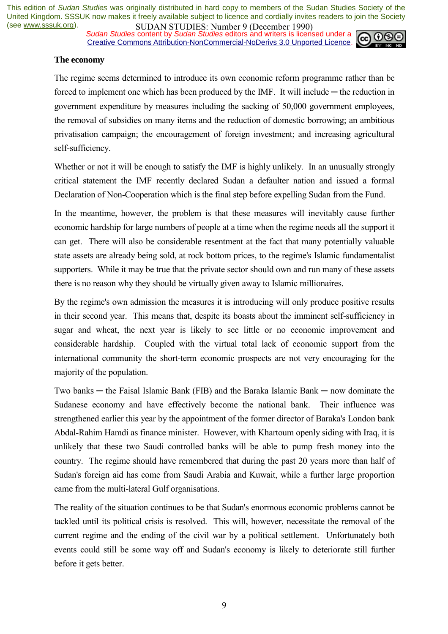*Sudan Studies content by Sudan Studies editors and writers is licensed under a* Creative Commons Attribution-NonCommercial-NoDerivs 3.0 Unported Licence.



#### **The economy**

The regime seems determined to introduce its own economic reform programme rather than be forced to implement one which has been produced by the IMF. It will include — the reduction in government expenditure by measures including the sacking of 50,000 government employees, the removal of subsidies on many items and the reduction of domestic borrowing; an ambitious privatisation campaign; the encouragement of foreign investment; and increasing agricultural self-sufficiency.

Whether or not it will be enough to satisfy the IMF is highly unlikely. In an unusually strongly critical statement the IMF recently declared Sudan a defaulter nation and issued a formal Declaration of Non-Cooperation which is the final step before expelling Sudan from the Fund.

In the meantime, however, the problem is that these measures will inevitably cause further economic hardship for large numbers of people at a time when the regime needs all the support it can get. There will also be considerable resentment at the fact that many potentially valuable state assets are already being sold, at rock bottom prices, to the regime's Islamic fundamentalist supporters. While it may be true that the private sector should own and run many of these assets there is no reason why they should be virtually given away to Islamic millionaires.

By the regime's own admission the measures it is introducing will only produce positive results in their second year. This means that, despite its boasts about the imminent self-sufficiency in sugar and wheat, the next year is likely to see little or no economic improvement and considerable hardship. Coupled with the virtual total lack of economic support from the international community the short-term economic prospects are not very encouraging for the majority of the population.

Two banks ─ the Faisal Islamic Bank (FIB) and the Baraka Islamic Bank ─ now dominate the Sudanese economy and have effectively become the national bank. Their influence was strengthened earlier this year by the appointment of the former director of Baraka's London bank Abdal-Rahim Hamdi as finance minister. However, with Khartoum openly siding with Iraq, it is unlikely that these two Saudi controlled banks will be able to pump fresh money into the country. The regime should have remembered that during the past 20 years more than half of Sudan's foreign aid has come from Saudi Arabia and Kuwait, while a further large proportion came from the multi-lateral Gulf organisations.

The reality of the situation continues to be that Sudan's enormous economic problems cannot be tackled until its political crisis is resolved. This will, however, necessitate the removal of the current regime and the ending of the civil war by a political settlement. Unfortunately both events could still be some way off and Sudan's economy is likely to deteriorate still further before it gets better.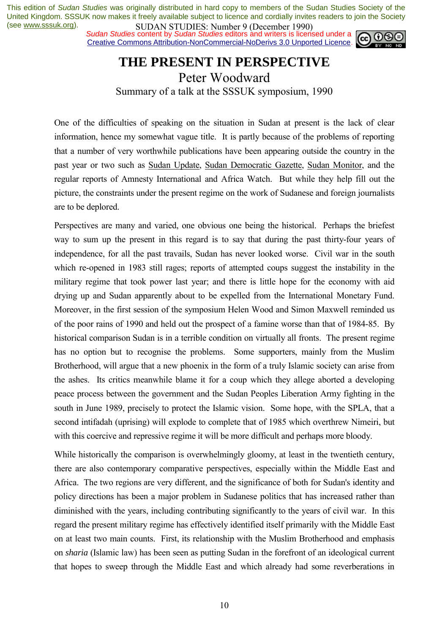**SUDAN STUDIES.** INDIFFERING CONCLUSES (BUDAN STUDIES). IN EXAMPLE 2014 ISSUES CONTROLLER SUDAN SUDAN SUDAN SUDAN STATE of the state of the state of the state of the state of the state of the state of the state of the stat Creative Commons Attribution-NonCommercial-NoDerivs 3.0 Unported Licence.



### **THE PRESENT IN PERSPECTIVE**  Peter Woodward Summary of a talk at the SSSUK symposium, 1990

One of the difficulties of speaking on the situation in Sudan at present is the lack of clear information, hence my somewhat vague title. It is partly because of the problems of reporting that a number of very worthwhile publications have been appearing outside the country in the past year or two such as Sudan Update, Sudan Democratic Gazette, Sudan Monitor, and the regular reports of Amnesty International and Africa Watch. But while they help fill out the picture, the constraints under the present regime on the work of Sudanese and foreign journalists are to be deplored.

Perspectives are many and varied, one obvious one being the historical. Perhaps the briefest way to sum up the present in this regard is to say that during the past thirty-four years of independence, for all the past travails, Sudan has never looked worse. Civil war in the south which re-opened in 1983 still rages; reports of attempted coups suggest the instability in the military regime that took power last year; and there is little hope for the economy with aid drying up and Sudan apparently about to be expelled from the International Monetary Fund. Moreover, in the first session of the symposium Helen Wood and Simon Maxwell reminded us of the poor rains of 1990 and held out the prospect of a famine worse than that of 1984-85. By historical comparison Sudan is in a terrible condition on virtually all fronts. The present regime has no option but to recognise the problems. Some supporters, mainly from the Muslim Brotherhood, will argue that a new phoenix in the form of a truly Islamic society can arise from the ashes. Its critics meanwhile blame it for a coup which they allege aborted a developing peace process between the government and the Sudan Peoples Liberation Army fighting in the south in June 1989, precisely to protect the Islamic vision. Some hope, with the SPLA, that a second intifadah (uprising) will explode to complete that of 1985 which overthrew Nimeiri, but with this coercive and repressive regime it will be more difficult and perhaps more bloody.

While historically the comparison is overwhelmingly gloomy, at least in the twentieth century, there are also contemporary comparative perspectives, especially within the Middle East and Africa. The two regions are very different, and the significance of both for Sudan's identity and policy directions has been a major problem in Sudanese politics that has increased rather than diminished with the years, including contributing significantly to the years of civil war. In this regard the present military regime has effectively identified itself primarily with the Middle East on at least two main counts. First, its relationship with the Muslim Brotherhood and emphasis on *sharia* (Islamic law) has been seen as putting Sudan in the forefront of an ideological current that hopes to sweep through the Middle East and which already had some reverberations in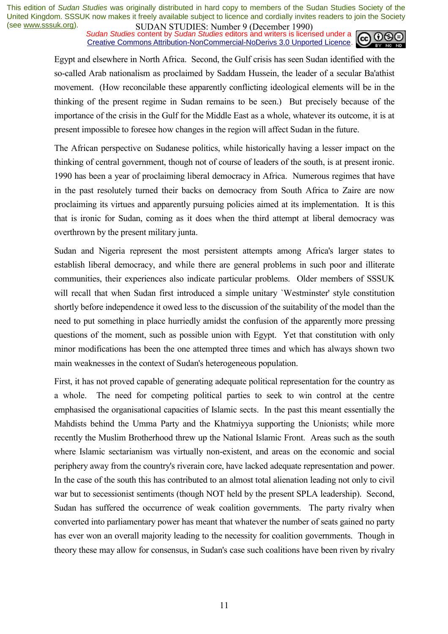**SUDAN STUDIES:** Number 9 (December 1770)<br>Sudan Studies content by Sudan Studies editors and writers is licensed under a  $\omega$ Creative Commons Attribution-NonCommercial-NoDerivs 3.0 Unported Licence.



Egypt and elsewhere in North Africa. Second, the Gulf crisis has seen Sudan identified with the so-called Arab nationalism as proclaimed by Saddam Hussein, the leader of a secular Ba'athist movement. (How reconcilable these apparently conflicting ideological elements will be in the thinking of the present regime in Sudan remains to be seen.) But precisely because of the importance of the crisis in the Gulf for the Middle East as a whole, whatever its outcome, it is at present impossible to foresee how changes in the region will affect Sudan in the future.

The African perspective on Sudanese politics, while historically having a lesser impact on the thinking of central government, though not of course of leaders of the south, is at present ironic. 1990 has been a year of proclaiming liberal democracy in Africa. Numerous regimes that have in the past resolutely turned their backs on democracy from South Africa to Zaire are now proclaiming its virtues and apparently pursuing policies aimed at its implementation. It is this that is ironic for Sudan, coming as it does when the third attempt at liberal democracy was overthrown by the present military junta.

Sudan and Nigeria represent the most persistent attempts among Africa's larger states to establish liberal democracy, and while there are general problems in such poor and illiterate communities, their experiences also indicate particular problems. Older members of SSSUK will recall that when Sudan first introduced a simple unitary `Westminster' style constitution shortly before independence it owed less to the discussion of the suitability of the model than the need to put something in place hurriedly amidst the confusion of the apparently more pressing questions of the moment, such as possible union with Egypt. Yet that constitution with only minor modifications has been the one attempted three times and which has always shown two main weaknesses in the context of Sudan's heterogeneous population.

First, it has not proved capable of generating adequate political representation for the country as a whole. The need for competing political parties to seek to win control at the centre emphasised the organisational capacities of Islamic sects. In the past this meant essentially the Mahdists behind the Umma Party and the Khatmiyya supporting the Unionists; while more recently the Muslim Brotherhood threw up the National Islamic Front. Areas such as the south where Islamic sectarianism was virtually non-existent, and areas on the economic and social periphery away from the country's riverain core, have lacked adequate representation and power. In the case of the south this has contributed to an almost total alienation leading not only to civil war but to secessionist sentiments (though NOT held by the present SPLA leadership). Second, Sudan has suffered the occurrence of weak coalition governments. The party rivalry when converted into parliamentary power has meant that whatever the number of seats gained no party has ever won an overall majority leading to the necessity for coalition governments. Though in theory these may allow for consensus, in Sudan's case such coalitions have been riven by rivalry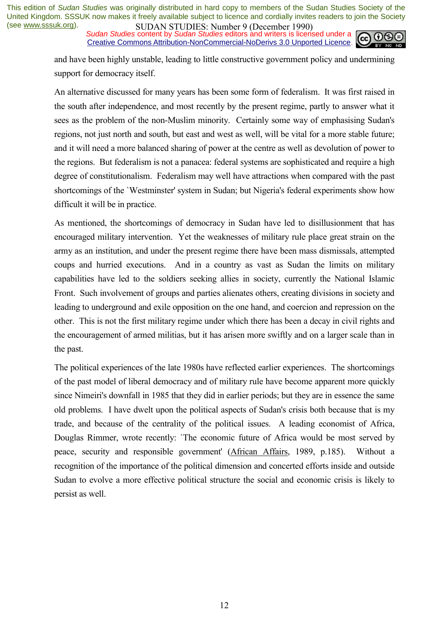**SUDAN STUDIES:** Number 9 (December 1770)<br>*Sudan Studies* content by *Sudan Studies* editors and writers is licensed under a Creative Commons Attribution-NonCommercial-NoDerivs 3.0 Unported Licence.



and have been highly unstable, leading to little constructive government policy and undermining support for democracy itself.

An alternative discussed for many years has been some form of federalism. It was first raised in the south after independence, and most recently by the present regime, partly to answer what it sees as the problem of the non-Muslim minority. Certainly some way of emphasising Sudan's regions, not just north and south, but east and west as well, will be vital for a more stable future; and it will need a more balanced sharing of power at the centre as well as devolution of power to the regions. But federalism is not a panacea: federal systems are sophisticated and require a high degree of constitutionalism. Federalism may well have attractions when compared with the past shortcomings of the `Westminster' system in Sudan; but Nigeria's federal experiments show how difficult it will be in practice.

As mentioned, the shortcomings of democracy in Sudan have led to disillusionment that has encouraged military intervention. Yet the weaknesses of military rule place great strain on the army as an institution, and under the present regime there have been mass dismissals, attempted coups and hurried executions. And in a country as vast as Sudan the limits on military capabilities have led to the soldiers seeking allies in society, currently the National Islamic Front. Such involvement of groups and parties alienates others, creating divisions in society and leading to underground and exile opposition on the one hand, and coercion and repression on the other. This is not the first military regime under which there has been a decay in civil rights and the encouragement of armed militias, but it has arisen more swiftly and on a larger scale than in the past.

The political experiences of the late 1980s have reflected earlier experiences. The shortcomings of the past model of liberal democracy and of military rule have become apparent more quickly since Nimeiri's downfall in 1985 that they did in earlier periods; but they are in essence the same old problems. I have dwelt upon the political aspects of Sudan's crisis both because that is my trade, and because of the centrality of the political issues. A leading economist of Africa, Douglas Rimmer, wrote recently: `The economic future of Africa would be most served by peace, security and responsible government' (African Affairs, 1989, p.185). Without a recognition of the importance of the political dimension and concerted efforts inside and outside Sudan to evolve a more effective political structure the social and economic crisis is likely to persist as well.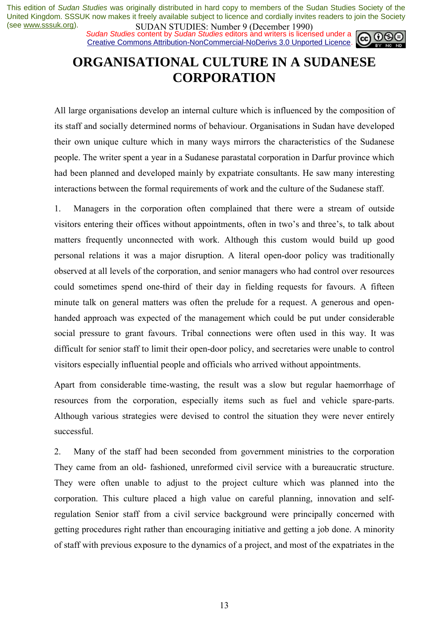*Sudan Studies content by Sudan Studies editors and writers is licensed under a* Creative Commons Attribution-NonCommercial-NoDerivs 3.0 Unported Licence.



# **ORGANISATIONAL CULTURE IN A SUDANESE CORPORATION**

All large organisations develop an internal culture which is influenced by the composition of its staff and socially determined norms of behaviour. Organisations in Sudan have developed their own unique culture which in many ways mirrors the characteristics of the Sudanese people. The writer spent a year in a Sudanese parastatal corporation in Darfur province which had been planned and developed mainly by expatriate consultants. He saw many interesting interactions between the formal requirements of work and the culture of the Sudanese staff.

1. Managers in the corporation often complained that there were a stream of outside visitors entering their offices without appointments, often in two's and three's, to talk about matters frequently unconnected with work. Although this custom would build up good personal relations it was a major disruption. A literal open-door policy was traditionally observed at all levels of the corporation, and senior managers who had control over resources could sometimes spend one-third of their day in fielding requests for favours. A fifteen minute talk on general matters was often the prelude for a request. A generous and openhanded approach was expected of the management which could be put under considerable social pressure to grant favours. Tribal connections were often used in this way. It was difficult for senior staff to limit their open-door policy, and secretaries were unable to control visitors especially influential people and officials who arrived without appointments.

Apart from considerable time-wasting, the result was a slow but regular haemorrhage of resources from the corporation, especially items such as fuel and vehicle spare-parts. Although various strategies were devised to control the situation they were never entirely successful.

2. Many of the staff had been seconded from government ministries to the corporation They came from an old- fashioned, unreformed civil service with a bureaucratic structure. They were often unable to adjust to the project culture which was planned into the corporation. This culture placed a high value on careful planning, innovation and selfregulation Senior staff from a civil service background were principally concerned with getting procedures right rather than encouraging initiative and getting a job done. A minority of staff with previous exposure to the dynamics of a project, and most of the expatriates in the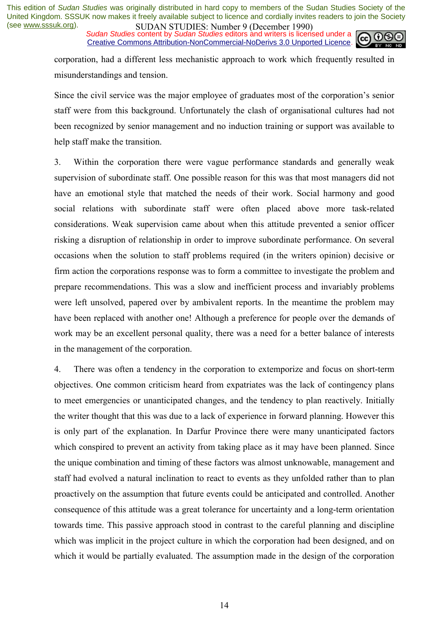**SUDAN STUDIES:** NUTTUP 7 (December 1770)<br>Sudan Studies content by Sudan Studies editors and writers is licensed under a Creative Commons Attribution-NonCommercial-NoDerivs 3.0 Unported Licence.



corporation, had a different less mechanistic approach to work which frequently resulted in misunderstandings and tension.

Since the civil service was the major employee of graduates most of the corporation's senior staff were from this background. Unfortunately the clash of organisational cultures had not been recognized by senior management and no induction training or support was available to help staff make the transition.

3. Within the corporation there were vague performance standards and generally weak supervision of subordinate staff. One possible reason for this was that most managers did not have an emotional style that matched the needs of their work. Social harmony and good social relations with subordinate staff were often placed above more task-related considerations. Weak supervision came about when this attitude prevented a senior officer risking a disruption of relationship in order to improve subordinate performance. On several occasions when the solution to staff problems required (in the writers opinion) decisive or firm action the corporations response was to form a committee to investigate the problem and prepare recommendations. This was a slow and inefficient process and invariably problems were left unsolved, papered over by ambivalent reports. In the meantime the problem may have been replaced with another one! Although a preference for people over the demands of work may be an excellent personal quality, there was a need for a better balance of interests in the management of the corporation.

4. There was often a tendency in the corporation to extemporize and focus on short-term objectives. One common criticism heard from expatriates was the lack of contingency plans to meet emergencies or unanticipated changes, and the tendency to plan reactively. Initially the writer thought that this was due to a lack of experience in forward planning. However this is only part of the explanation. In Darfur Province there were many unanticipated factors which conspired to prevent an activity from taking place as it may have been planned. Since the unique combination and timing of these factors was almost unknowable, management and staff had evolved a natural inclination to react to events as they unfolded rather than to plan proactively on the assumption that future events could be anticipated and controlled. Another consequence of this attitude was a great tolerance for uncertainty and a long-term orientation towards time. This passive approach stood in contrast to the careful planning and discipline which was implicit in the project culture in which the corporation had been designed, and on which it would be partially evaluated. The assumption made in the design of the corporation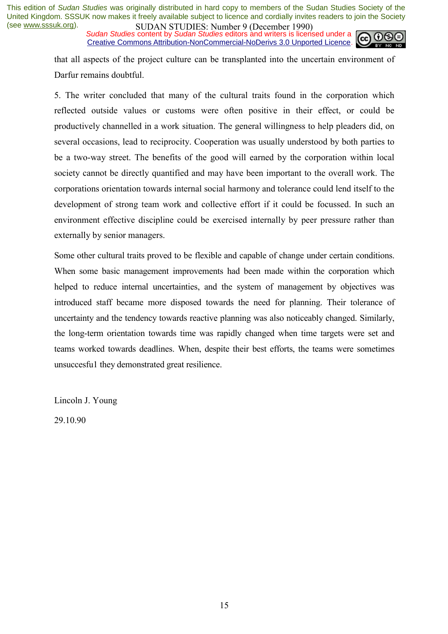**SUDAN STUDIES:** NUTTURE 19 (December 1990)<br>Sudan Studies content by Sudan Studies editors and writers is licensed under a **co**  $\bigcirc$ Creative Commons Attribution-NonCommercial-NoDerivs 3.0 Unported Licence.



that all aspects of the project culture can be transplanted into the uncertain environment of Darfur remains doubtful.

5. The writer concluded that many of the cultural traits found in the corporation which reflected outside values or customs were often positive in their effect, or could be productively channelled in a work situation. The general willingness to help pleaders did, on several occasions, lead to reciprocity. Cooperation was usually understood by both parties to be a two-way street. The benefits of the good will earned by the corporation within local society cannot be directly quantified and may have been important to the overall work. The corporations orientation towards internal social harmony and tolerance could lend itself to the development of strong team work and collective effort if it could be focussed. In such an environment effective discipline could be exercised internally by peer pressure rather than externally by senior managers.

Some other cultural traits proved to be flexible and capable of change under certain conditions. When some basic management improvements had been made within the corporation which helped to reduce internal uncertainties, and the system of management by objectives was introduced staff became more disposed towards the need for planning. Their tolerance of uncertainty and the tendency towards reactive planning was also noticeably changed. Similarly, the long-term orientation towards time was rapidly changed when time targets were set and teams worked towards deadlines. When, despite their best efforts, the teams were sometimes unsuccesfu1 they demonstrated great resilience.

Lincoln J. Young

29.10.90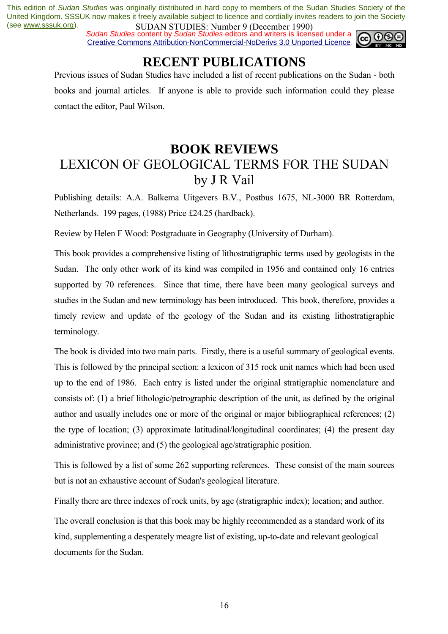*Sudan Studies content by Sudan Studies editors and writers is licensed under a* Creative Commons Attribution-NonCommercial-NoDerivs 3.0 Unported Licence.



# **RECENT PUBLICATIONS**

Previous issues of Sudan Studies have included a list of recent publications on the Sudan - both books and journal articles. If anyone is able to provide such information could they please contact the editor, Paul Wilson.

# **BOOK REVIEWS**  LEXICON OF GEOLOGICAL TERMS FOR THE SUDAN by J R Vail

Publishing details: A.A. Balkema Uitgevers B.V., Postbus 1675, NL-3000 BR Rotterdam, Netherlands. 199 pages, (1988) Price £24.25 (hardback).

Review by Helen F Wood: Postgraduate in Geography (University of Durham).

This book provides a comprehensive listing of lithostratigraphic terms used by geologists in the Sudan. The only other work of its kind was compiled in 1956 and contained only 16 entries supported by 70 references. Since that time, there have been many geological surveys and studies in the Sudan and new terminology has been introduced. This book, therefore, provides a timely review and update of the geology of the Sudan and its existing lithostratigraphic terminology.

The book is divided into two main parts. Firstly, there is a useful summary of geological events. This is followed by the principal section: a lexicon of 315 rock unit names which had been used up to the end of 1986. Each entry is listed under the original stratigraphic nomenclature and consists of: (1) a brief lithologic/petrographic description of the unit, as defined by the original author and usually includes one or more of the original or major bibliographical references; (2) the type of location; (3) approximate latitudinal/longitudinal coordinates; (4) the present day administrative province; and (5) the geological age/stratigraphic position.

This is followed by a list of some 262 supporting references. These consist of the main sources but is not an exhaustive account of Sudan's geological literature.

Finally there are three indexes of rock units, by age (stratigraphic index); location; and author.

The overall conclusion is that this book may be highly recommended as a standard work of its kind, supplementing a desperately meagre list of existing, up-to-date and relevant geological documents for the Sudan.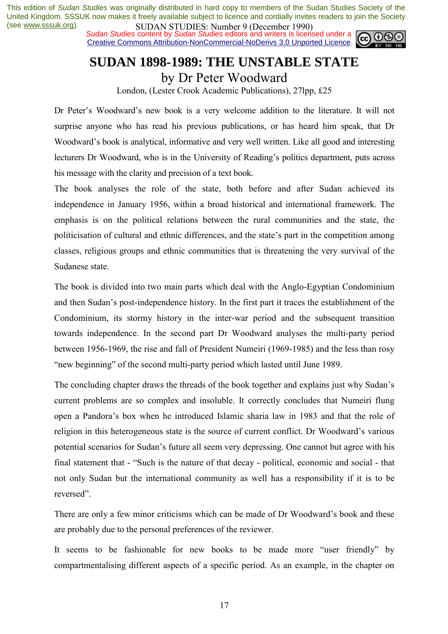*Sudan Studies content by Sudan Studies editors and writers is licensed under a* Creative Commons Attribution-NonCommercial-NoDerivs 3.0 Unported Licence.



# **SUDAN 1898-1989: THE UNSTABLE STATE**

by Dr Peter Woodward

London, (Lester Crook Academic Publications), 27lpp, £25

Dr Peter's Woodward's new book is a very welcome addition to the literature. It will not surprise anyone who has read his previous publications, or has heard him speak, that Dr Woodward's book is analytical, informative and very well written. Like all good and interesting lecturers Dr Woodward, who is in the University of Reading's politics department, puts across his message with the clarity and precision of a text book.

The book analyses the role of the state, both before and after Sudan achieved its independence in January 1956, within a broad historical and international framework. The emphasis is on the political relations between the rural communities and the state, the politicisation of cultural and ethnic differences, and the state's part in the competition among classes, religious groups and ethnic communities that is threatening the very survival of the Sudanese state.

The book is divided into two main parts which deal with the Anglo-Egyptian Condominium and then Sudan's post-independence history. In the first part it traces the establishment of the Condominium, its stormy history in the inter-war period and the subsequent transition towards independence. In the second part Dr Woodward analyses the multi-party period between 1956-1969, the rise and fall of President Numeiri (1969-1985) and the less than rosy ìnew beginningî of the second multi-party period which lasted until June 1989.

The concluding chapter draws the threads of the book together and explains just why Sudan's current problems are so complex and insoluble. It correctly concludes that Numeiri flung open a Pandoraís box when he introduced Islamic sharia law in 1983 and that the role of religion in this heterogeneous state is the source of current conflict. Dr Woodward's various potential scenarios for Sudan's future all seem very depressing. One cannot but agree with his final statement that - "Such is the nature of that decay - political, economic and social - that not only Sudan but the international community as well has a responsibility if it is to be reversed".

There are only a few minor criticisms which can be made of Dr Woodward's book and these are probably due to the personal preferences of the reviewer.

It seems to be fashionable for new books to be made more "user friendly" by compartmentalising different aspects of a specific period. As an example, in the chapter on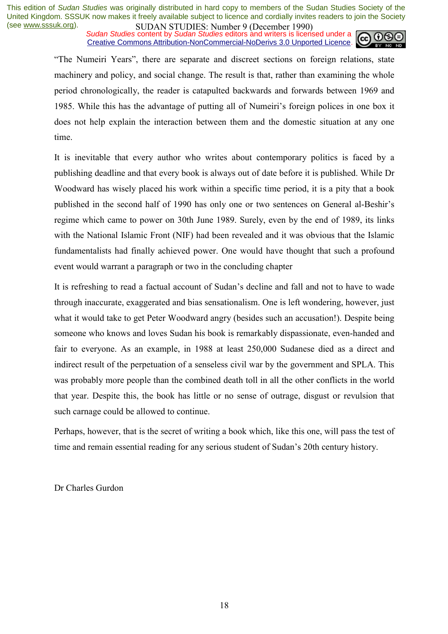**SUDAN STUDIES.** INDIFFERING BUCCITION 1770,<br>Sudan Studies content by Sudan Studies editors and writers is licensed under a Creative Commons Attribution-NonCommercial-NoDerivs 3.0 Unported Licence.



ìThe Numeiri Yearsî, there are separate and discreet sections on foreign relations, state machinery and policy, and social change. The result is that, rather than examining the whole period chronologically, the reader is catapulted backwards and forwards between 1969 and 1985. While this has the advantage of putting all of Numeiri's foreign polices in one box it does not help explain the interaction between them and the domestic situation at any one time.

It is inevitable that every author who writes about contemporary politics is faced by a publishing deadline and that every book is always out of date before it is published. While Dr Woodward has wisely placed his work within a specific time period, it is a pity that a book published in the second half of 1990 has only one or two sentences on General al-Beshir's regime which came to power on 30th June 1989. Surely, even by the end of 1989, its links with the National Islamic Front (NIF) had been revealed and it was obvious that the Islamic fundamentalists had finally achieved power. One would have thought that such a profound event would warrant a paragraph or two in the concluding chapter

It is refreshing to read a factual account of Sudan's decline and fall and not to have to wade through inaccurate, exaggerated and bias sensationalism. One is left wondering, however, just what it would take to get Peter Woodward angry (besides such an accusation!). Despite being someone who knows and loves Sudan his book is remarkably dispassionate, even-handed and fair to everyone. As an example, in 1988 at least 250,000 Sudanese died as a direct and indirect result of the perpetuation of a senseless civil war by the government and SPLA. This was probably more people than the combined death toll in all the other conflicts in the world that year. Despite this, the book has little or no sense of outrage, disgust or revulsion that such carnage could be allowed to continue.

Perhaps, however, that is the secret of writing a book which, like this one, will pass the test of time and remain essential reading for any serious student of Sudan's 20th century history.

Dr Charles Gurdon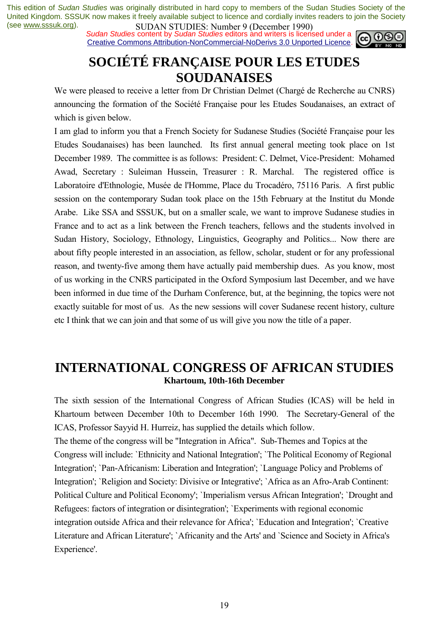*Sudan Studies content by Sudan Studies editors and writers is licensed under a* Creative Commons Attribution-NonCommercial-NoDerivs 3.0 Unported Licence.



# **SOCIÉTÉ FRANÇAISE POUR LES ETUDES SOUDANAISES**

We were pleased to receive a letter from Dr Christian Delmet (Chargé de Recherche au CNRS) announcing the formation of the Société Française pour les Etudes Soudanaises, an extract of which is given below.

I am glad to inform you that a French Society for Sudanese Studies (Société Française pour les Etudes Soudanaises) has been launched. Its first annual general meeting took place on 1st December 1989. The committee is as follows: President: C. Delmet, Vice-President: Mohamed Awad, Secretary : Suleiman Hussein, Treasurer : R. Marchal. The registered office is Laboratoire d'Ethnologie, Musée de l'Homme, Place du Trocadéro, 75116 Paris. A first public session on the contemporary Sudan took place on the 15th February at the Institut du Monde Arabe. Like SSA and SSSUK, but on a smaller scale, we want to improve Sudanese studies in France and to act as a link between the French teachers, fellows and the students involved in Sudan History, Sociology, Ethnology, Linguistics, Geography and Politics... Now there are about fifty people interested in an association, as fellow, scholar, student or for any professional reason, and twenty-five among them have actually paid membership dues. As you know, most of us working in the CNRS participated in the Oxford Symposium last December, and we have been informed in due time of the Durham Conference, but, at the beginning, the topics were not exactly suitable for most of us. As the new sessions will cover Sudanese recent history, culture etc I think that we can join and that some of us will give you now the title of a paper.

### **INTERNATIONAL CONGRESS OF AFRICAN STUDIES Khartoum, 10th-16th December**

The sixth session of the International Congress of African Studies (ICAS) will be held in Khartoum between December 10th to December 16th 1990. The Secretary-General of the ICAS, Professor Sayyid H. Hurreiz, has supplied the details which follow.

The theme of the congress will be "Integration in Africa". Sub-Themes and Topics at the Congress will include: `Ethnicity and National Integration'; `The Political Economy of Regional Integration'; `Pan-Africanism: Liberation and Integration'; `Language Policy and Problems of Integration'; `Religion and Society: Divisive or Integrative'; `Africa as an Afro-Arab Continent: Political Culture and Political Economy'; `Imperialism versus African Integration'; `Drought and Refugees: factors of integration or disintegration'; `Experiments with regional economic integration outside Africa and their relevance for Africa'; `Education and Integration'; `Creative Literature and African Literature'; `Africanity and the Arts' and `Science and Society in Africa's Experience'.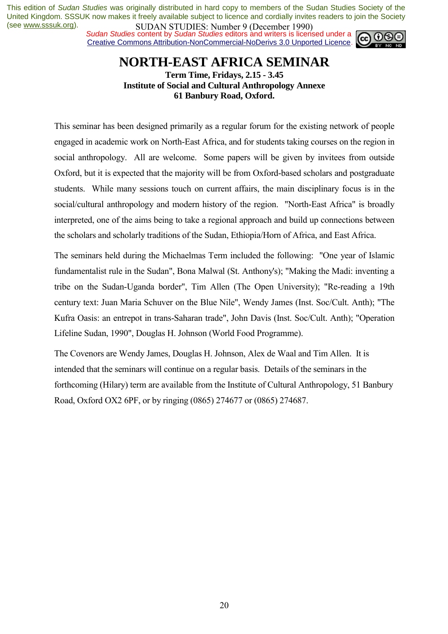*Sudan Studies content by Sudan Studies editors and writers is licensed under a* Creative Commons Attribution-NonCommercial-NoDerivs 3.0 Unported Licence.



# **NORTH-EAST AFRICA SEMINAR**

**Term Time, Fridays, 2.15 - 3.45 Institute of Social and Cultural Anthropology Annexe 61 Banbury Road, Oxford.**

This seminar has been designed primarily as a regular forum for the existing network of people engaged in academic work on North-East Africa, and for students taking courses on the region in social anthropology. All are welcome. Some papers will be given by invitees from outside Oxford, but it is expected that the majority will be from Oxford-based scholars and postgraduate students. While many sessions touch on current affairs, the main disciplinary focus is in the social/cultural anthropology and modern history of the region. "North-East Africa" is broadly interpreted, one of the aims being to take a regional approach and build up connections between the scholars and scholarly traditions of the Sudan, Ethiopia/Horn of Africa, and East Africa.

The seminars held during the Michaelmas Term included the following: "One year of Islamic fundamentalist rule in the Sudan", Bona Malwal (St. Anthony's); "Making the Madi: inventing a tribe on the Sudan-Uganda border", Tim Allen (The Open University); "Re-reading a 19th century text: Juan Maria Schuver on the Blue Nile", Wendy James (Inst. Soc/Cult. Anth); "The Kufra Oasis: an entrepot in trans-Saharan trade", John Davis (Inst. Soc/Cult. Anth); "Operation Lifeline Sudan, 1990", Douglas H. Johnson (World Food Programme).

The Covenors are Wendy James, Douglas H. Johnson, Alex de Waal and Tim Allen. It is intended that the seminars will continue on a regular basis. Details of the seminars in the forthcoming (Hilary) term are available from the Institute of Cultural Anthropology, 51 Banbury Road, Oxford OX2 6PF, or by ringing (0865) 274677 or (0865) 274687.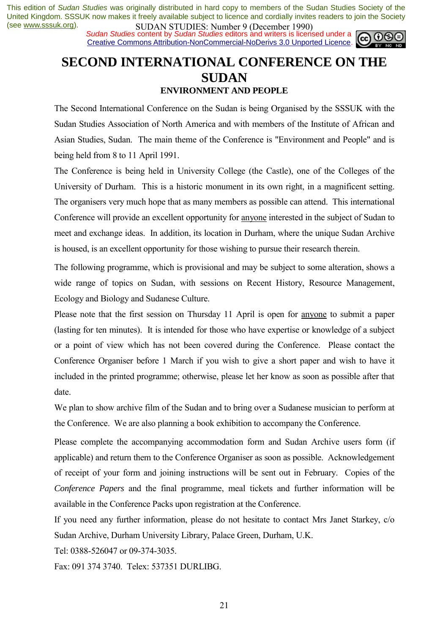**SUDAN STUDIES:** NUTTUP 7 (December 1770)<br>Sudan Studies content by Sudan Studies editors and writers is licensed under a Creative Commons Attribution-NonCommercial-NoDerivs 3.0 Unported Licence.



### **SECOND INTERNATIONAL CONFERENCE ON THE SUDAN ENVIRONMENT AND PEOPLE**

The Second International Conference on the Sudan is being Organised by the SSSUK with the Sudan Studies Association of North America and with members of the Institute of African and Asian Studies, Sudan. The main theme of the Conference is "Environment and People" and is being held from 8 to 11 April 1991.

The Conference is being held in University College (the Castle), one of the Colleges of the University of Durham. This is a historic monument in its own right, in a magnificent setting. The organisers very much hope that as many members as possible can attend. This international Conference will provide an excellent opportunity for anyone interested in the subject of Sudan to meet and exchange ideas. In addition, its location in Durham, where the unique Sudan Archive is housed, is an excellent opportunity for those wishing to pursue their research therein.

The following programme, which is provisional and may be subject to some alteration, shows a wide range of topics on Sudan, with sessions on Recent History, Resource Management, Ecology and Biology and Sudanese Culture.

Please note that the first session on Thursday 11 April is open for anyone to submit a paper (lasting for ten minutes). It is intended for those who have expertise or knowledge of a subject or a point of view which has not been covered during the Conference. Please contact the Conference Organiser before 1 March if you wish to give a short paper and wish to have it included in the printed programme; otherwise, please let her know as soon as possible after that date.

We plan to show archive film of the Sudan and to bring over a Sudanese musician to perform at the Conference. We are also planning a book exhibition to accompany the Conference.

Please complete the accompanying accommodation form and Sudan Archive users form (if applicable) and return them to the Conference Organiser as soon as possible. Acknowledgement of receipt of your form and joining instructions will be sent out in February. Copies of the *Conference Papers* and the final programme, meal tickets and further information will be available in the Conference Packs upon registration at the Conference.

If you need any further information, please do not hesitate to contact Mrs Janet Starkey, c/o Sudan Archive, Durham University Library, Palace Green, Durham, U.K.

Tel: 0388-526047 or 09-374-3035.

Fax: 091 374 3740. Telex: 537351 DURLIBG.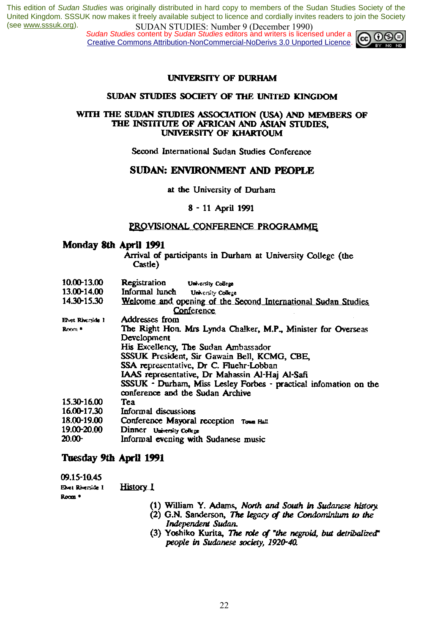**SUDAN STUDES.** Number 7 (December 1770)<br>Sudan Studies content by Sudan Studies editors and writers is licensed under a Creative Commons Attribution-NonCommercial-NoDerivs 3.0 Unported Licence.



#### **UNIVERSITY OF DURHAM**

#### SUDAN STUDIES SOCIETY OF THE UNITED KINGDOM

#### WITH THE SUDAN STUDIES ASSOCIATION (USA) AND MEMBERS OF THE INSTITUTE OF AFRICAN AND ASIAN STUDIES. UNIVERSITY OF KHARTOUM

Second International Sudan Studies Conference

#### **SUDAN: ENVIRONMENT AND PEOPLE**

#### at the University of Durham

#### 8 - 11 April 1991

#### PROVISIONAL CONFERENCE PROGRAMME

#### Monday 8th April 1991

Arrival of participants in Durham at University College (the Castle)

- 10.00-13.00 Registration University College
- 13.00-14.00 Informal lunch University College
- 14.30-15.30 Welcome and opening of the Second International Sudan Studies Conference
- Addresses from Elvet Riverside 1 The Right Hon. Mrs Lynda Chalker, M.P., Minister for Overseas Room<sup>®</sup> Development His Excellency, The Sudan Ambassador SSSUK President, Sir Gawain Bell, KCMG, CBE, SSA representative, Dr C. Fluehr-Lobban IAAS representative, Dr Mahassin Al-Haj Al-Safi SSSUK - Durham, Miss Lesley Forbes - practical infomation on the conference and the Sudan Archive 15.30-16.00 Tea 16.00-17.30 Informal discussions 18.00-19.00 Conference Mayoral reception Town Hall 19.00-20.00 Dinner University College  $20.00 -$ Informal evening with Sudanese music

#### Tuesday 9th April 1991

09.15-10.45

**History I** Elvet Riverside 1 Room<sup>\*</sup>

- (1) William Y. Adams, North and South in Sudanese history.
- (2) G.N. Sanderson, The legacy of the Condominium to the Independent Sudan.
- (3) Yoshiko Kurita, The role of "the negroid, but detribalized" people in Sudanese society, 1920-40.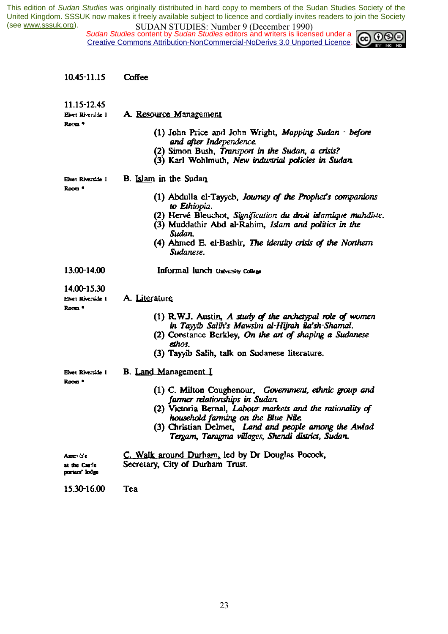*Sudan Studies content by Sudan Studies editors and writers is licensed under a* Creative Commons Attribution-NonCommercial-NoDerivs 3.0 Unported Licence.



| 10.45-11.15                                           | Coffee                                                                                                                                                                                                                                                                                                                                     |
|-------------------------------------------------------|--------------------------------------------------------------------------------------------------------------------------------------------------------------------------------------------------------------------------------------------------------------------------------------------------------------------------------------------|
| 11.15-12.45<br>Elvet Riverside I<br>Room *            | A. Resource Management<br>(1) John Price and John Wright, Mapping Sudan - before<br>and after Independence.<br>(2) Simon Bush, Transport in the Sudan, a crisis?<br>(3) Karl Wohlmuth, New industrial policies in Sudan                                                                                                                    |
| Elvet Riverside I<br>Room *                           | <b>B.</b> Islam in the Sudan<br>(1) Abdulla el-Tayyeb, Journey of the Prophet's companions<br>to Ethiopia.<br>(2) Hervé Bleuchot, Signification du droit islamique mahdiste.<br>(3) Muddathir Abd al-Rahim, Islam and politics in the<br>Sudan.<br>(4) Ahmed E. el-Bashir, The identity crisis of the Northern<br>Sudanese.                |
| 13.00-14.00                                           | Informal lunch University College                                                                                                                                                                                                                                                                                                          |
| 14.00-15.30<br>Elvet Riverside I<br>Room <sup>®</sup> | A. Literature<br>(1) R.W.J. Austin, A study of the archetypal role of women<br>in Tayyib Salih's Mawsim al-Hijrah ila'sh-Shamal.<br>(2) Constance Berkley, On the art of shaping a Sudanese<br>ethos.<br>(3) Tayyib Salih, talk on Sudanese literature.                                                                                    |
| Elvet Riverside I<br>Room *                           | <b>B.</b> Land Management I<br>(1) C. Milton Coughenour, Government, ethnic group and<br>farmer relationships in Sudan.<br>(2) Victoria Bernal, Labour markets and the rationality of<br>household farming on the Blue Nile.<br>(3) Christian Delmet, Land and people among the Awlad<br>Tergam, Taragma villages, Shendi district, Sudan. |
| Assemble<br>at the Castle<br>porters' lodge           | C. Walk around Durham, led by Dr Douglas Pocock,<br>Secretary, City of Durham Trust.                                                                                                                                                                                                                                                       |
| 15.30-16.00                                           | Tea                                                                                                                                                                                                                                                                                                                                        |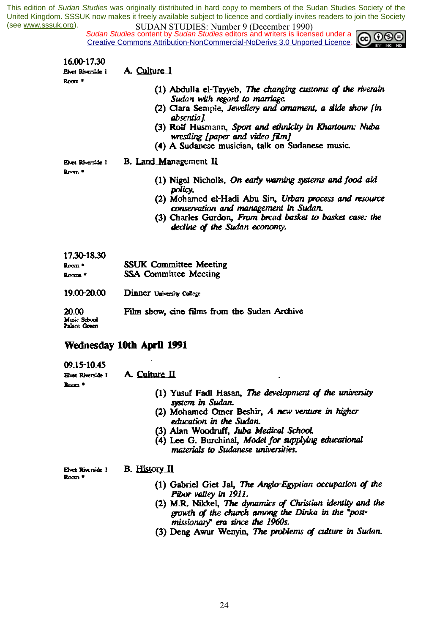*Sudan Studies* content by *Sudan Studies* editors and writers is licensed under a Creative Commons Attribution-NonCommercial-NoDerivs 3.0 Unported Licence.



| 16.00-17.30                           |                                                                                                                                                                                                                                                                                                                               |
|---------------------------------------|-------------------------------------------------------------------------------------------------------------------------------------------------------------------------------------------------------------------------------------------------------------------------------------------------------------------------------|
| Elvet Riverside I                     | A. Culture I                                                                                                                                                                                                                                                                                                                  |
| Room *                                | (1) Abdulla el-Tayyeb, The changing customs of the riverain<br>Sudan with regard to marriage.<br>(2) Clara Semple, Jewellery and ornament, a slide show [in<br>absentia l<br>(3) Rolf Husmann, Sport and ethnicity in Khartourn: Nuba<br>wrestling [paper and video film]<br>(4) A Sudanese musician, talk on Sudanese music. |
| Evet Riverside 1                      | <b>B.</b> Land Management II                                                                                                                                                                                                                                                                                                  |
| Room *                                | (1) Nigel Nicholls, On early warning systems and food aid<br>policy.<br>(2) Mohamed el-Hadi Abu Sin, Urban process and resource<br>conservation and management in Sudan.<br>(3) Charles Gurdon, From bread basket to basket case: the<br>decline of the Sudan economy.                                                        |
| 17.30-18.30<br>$Rcm$ *<br>Rooms *     | <b>SSUK Committee Meeting</b><br><b>SSA Committee Meeting</b>                                                                                                                                                                                                                                                                 |
| 19.00-20.00                           | Dinner University College                                                                                                                                                                                                                                                                                                     |
| 20.00<br>Music School<br>Palace Green | Film show, cine films from the Sudan Archive                                                                                                                                                                                                                                                                                  |

#### Wednesday 10th April 1991

09.15-10.45 Elvet Riverside I

A. Culture II

Room<sup>\*</sup>

- (1) Yusuf Fadl Hasan, The development of the university system in Sudan.
- (2) Mohamed Omer Beshir, A new venture in higher education in the Sudan.
- (3) Alan Woodruff, Juba Medical School.
- (4) Lee G. Burchinal, Model for supplying educational materials to Sudanese universities.

Elvet Riverside 1 **B.** History II Room<sup>\*</sup>

- (1) Gabriel Giet Jal, The Anglo-Egyptian occupation of the Pibor valley in 1911.
- (2) M.R. Nikkel, The dynamics of Christian identity and the growth of the church among the Dinka in the "postmissionary" era since the 1960s.
- (3) Deng Awur Wenyin, The problems of culture in Sudan.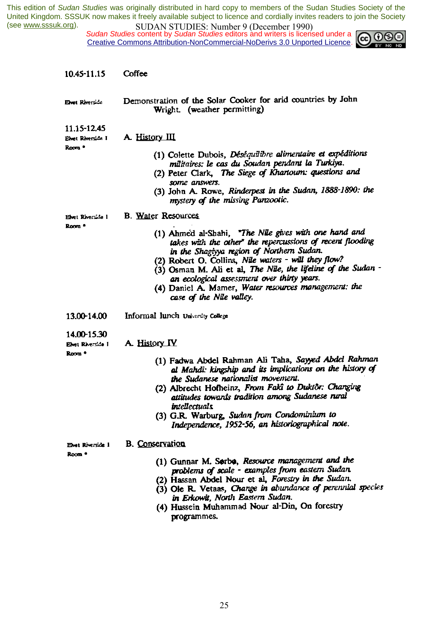*Sudan Studies content by Sudan Studies editors and writers is licensed under a* Creative Commons Attribution-NonCommercial-NoDerivs 3.0 Unported Licence.



| 10.45-11.15                                                  | Coffee                                                                                                                                                                                                                                                                                                                                                                                                                                                    |
|--------------------------------------------------------------|-----------------------------------------------------------------------------------------------------------------------------------------------------------------------------------------------------------------------------------------------------------------------------------------------------------------------------------------------------------------------------------------------------------------------------------------------------------|
| Elvet Riverside                                              | Demonstration of the Solar Cooker for arid countries by John<br>Wright. (weather permitting)                                                                                                                                                                                                                                                                                                                                                              |
| 11.15-12.45<br>Elvet Riverside I<br>Room *                   | A. History III<br>(1) Colette Dubois, Déséquilibre alimentaire et expéditions<br>militaires: le cas du Soudan pendant la Turkiya.<br>(2) Peter Clark, The Siege of Khartoum: questions and<br>some answers.<br>(3) John A. Rowe, Rinderpest in the Sudan, 1888-1890: the<br>mystery of the missing Panzootic.                                                                                                                                             |
| Elvet Riverside I<br>Room <sup>*</sup>                       | <b>B. Water Resources</b><br>(1) Ahmed al-Shahi, "The Nile gives with one hand and<br>takes with the other" the repercussions of recent flooding<br>in the Shagiyya region of Northern Sudan.<br>(2) Robert O. Collins, Nile waters - will they flow?<br>(3) Osman M. Ali et al, The Nile, the lifeline of the Sudan -<br>an ecological assessment over thirty years.<br>(4) Daniel A. Mamer, Water resources management: the<br>case of the Nile valley. |
| 13.00-14.00                                                  | Informal lunch University College                                                                                                                                                                                                                                                                                                                                                                                                                         |
| 14.00-15.30<br><b>Elvet Riverside I</b><br>Room <sup>*</sup> | A. History IV<br>(1) Fadwa Abdel Rahman Ali Taha, Sayyed Abdel Rahman<br>al Mahdi: kingship and its implications on the history of<br>the Sudanese nationalist movement.<br>(2) Albrecht Hofheinz, From Fakî to Duktôr: Changing<br>attitudes towards tradition among Sudanese rural<br>intellectuals<br>(3) G.R. Warburg, Sudan from Condominium to<br>Independence, 1952-56, an historiographical note.                                                 |
| Elvet Riverside I<br>Room <sup>*</sup>                       | <b>B.</b> Conservation<br>(1) Gunnar M. Sorbo, Resource management and the<br>problems of scale - examples from eastern Sudan.<br>(2) Hassan Abdel Nour et al, Forestry in the Sudan.<br>(3) Ole R. Vetaas, Change in abundance of perennial species<br>in Erkowit, North Eastern Sudan.<br>(4) Hussein Muhammad Nour al-Din, On forestry<br>waarammee                                                                                                    |

programmes.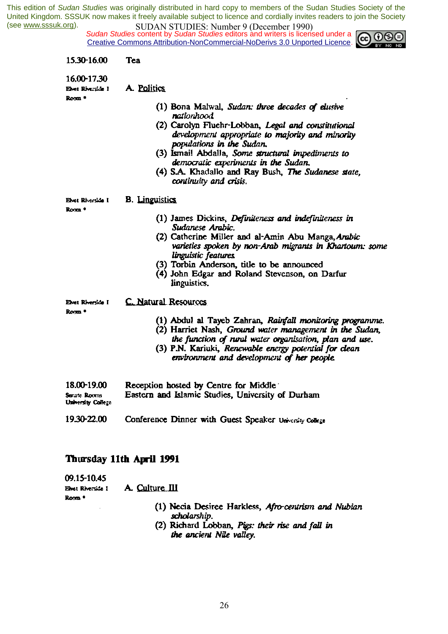*Sudan Studies content by Sudan Studies editors and writers is licensed under a* Creative Commons Attribution-NonCommercial-NoDerivs 3.0 Unported Licence.



| 15.30-16.00                                | Tea                                                                                                                                                                             |
|--------------------------------------------|---------------------------------------------------------------------------------------------------------------------------------------------------------------------------------|
|                                            |                                                                                                                                                                                 |
| 16.00-17.30<br>Elvet Riverside I<br>Room * | A. Politics                                                                                                                                                                     |
|                                            | (1) Bona Malwal, Sudan: three decades of elusive<br>nationhood                                                                                                                  |
|                                            | (2) Carolyn Fluchr-Lobban, Legal and constitutional<br>development appropriate to majority and minority<br>populations in the Sudan.                                            |
|                                            | (3) Ismail Abdalla, Some structural impediments to<br>democratic experiments in the Sudan.                                                                                      |
|                                            | (4) S.A. Khadalio and Ray Bush, The Sudanese state,<br>continuity and crisis.                                                                                                   |
| Elvet Riverside I                          | <b>B.</b> Linguistics                                                                                                                                                           |
| Room *                                     | (1) James Dickins, Definiteness and indefiniteness in<br>Sudanese Arabic.                                                                                                       |
|                                            | (2) Catherine Miller and al-Amin Abu Manga, Arabic<br>varieties spoken by non-Arab migrants in Khartoum: some<br>linguistic features.                                           |
|                                            | (3) Torbin Anderson, title to be announced<br>(4) John Edgar and Roland Stevenson, on Darfur                                                                                    |
|                                            | linguistics.                                                                                                                                                                    |
| Elvet Riversice I<br>Rom <sup>+</sup>      | C. Natural Resources                                                                                                                                                            |
|                                            | (1) Abdul al Tayeb Zahran, Rainfall monitoring programme.<br>(2) Harriet Nash, Ground water management in the Sudan,<br>the function of rural water organisation, plan and use. |
|                                            | (3) P.N. Kariuki, Renewable energy potential for clean<br>environment and development of her people.                                                                            |
| 18.00-19.00                                | Reception hosted by Centre for Middle                                                                                                                                           |
| Serate Rooms<br>University College         | Eastern and Islamic Studies, University of Durham                                                                                                                               |
|                                            |                                                                                                                                                                                 |

### Thursday 11th April 1991

| 09.15-10.45<br>Evet Riverside I<br>Room * | A. Culture III                                                       |
|-------------------------------------------|----------------------------------------------------------------------|
|                                           | (1) Necia Desiree Harkless, Afro-centrism and Nubian<br>scholarship. |

(2) Richard Lobban, Pigs: their rise and fall in the ancient Nile valley.